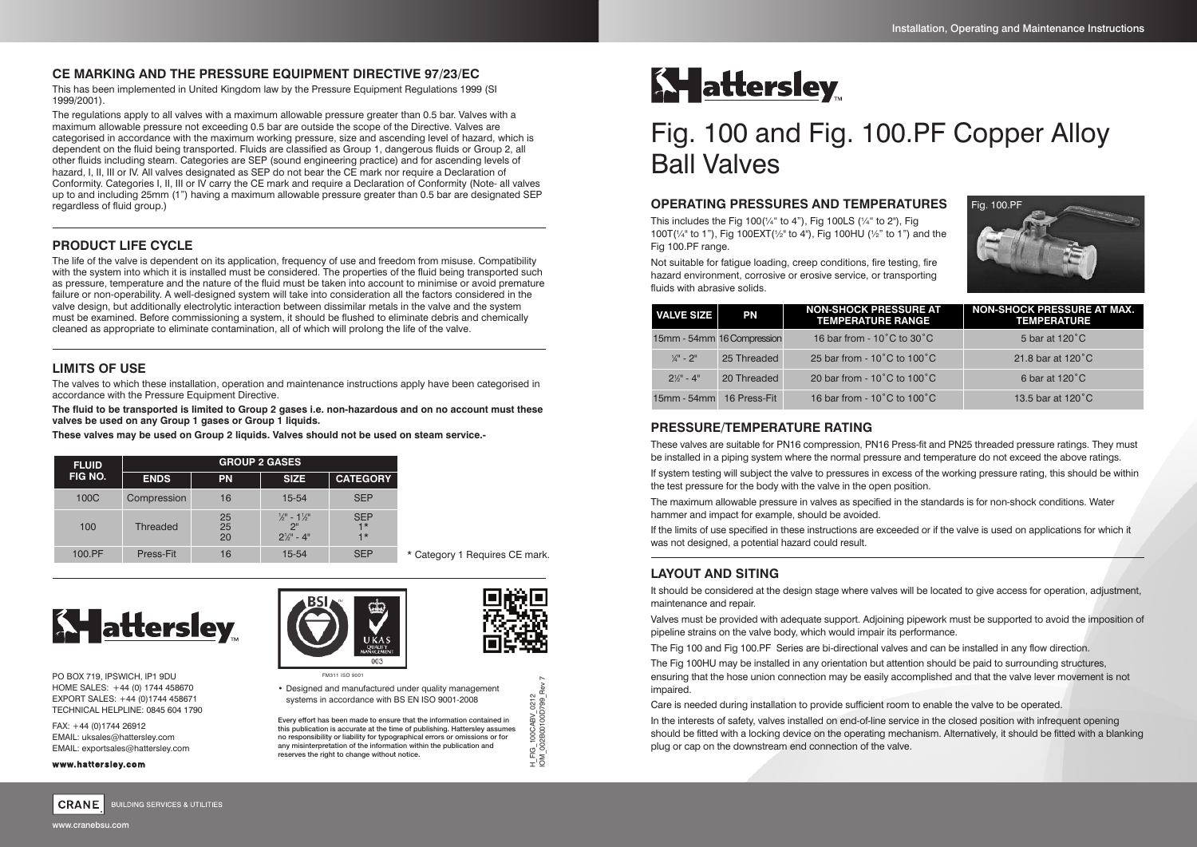# **CE MARKING AND THE PRESSURE EQUIPMENT DIRECTIVE 97/23/EC**

This has been implemented in United Kingdom law by the Pressure Equipment Regulations 1999 (SI 1999/2001).

The regulations apply to all valves with a maximum allowable pressure greater than 0.5 bar. Valves with a maximum allowable pressure not exceeding 0.5 bar are outside the scope of the Directive. Valves are categorised in accordance with the maximum working pressure, size and ascending level of hazard, which is dependent on the fluid being transported. Fluids are classified as Group 1, dangerous fluids or Group 2, all other fluids including steam. Categories are SEP (sound engineering practice) and for ascending levels of hazard, I, II, III or IV. All valves designated as SEP do not bear the CE mark nor require a Declaration of Conformity. Categories I, II, III or IV carry the CE mark and require a Declaration of Conformity (Note- all valves up to and including 25mm (1") having a maximum allowable pressure greater than 0.5 bar are designated SEP regardless of fluid group.)

# **PRODUCT LIFE CYCLE**

The life of the valve is dependent on its application, frequency of use and freedom from misuse. Compatibility with the system into which it is installed must be considered. The properties of the fluid being transported such as pressure, temperature and the nature of the fluid must be taken into account to minimise or avoid premature failure or non-operability. A well-designed system will take into consideration all the factors considered in the valve design, but additionally electrolytic interaction between dissimilar metals in the valve and the system must be examined. Before commissioning a system, it should be flushed to eliminate debris and chemically cleaned as appropriate to eliminate contamination, all of which will prolong the life of the valve.

# **LIMITS OF USE**

The valves to which these installation, operation and maintenance instructions apply have been categorised in accordance with the Pressure Equipment Directive.

The fluid to be transported is limited to Group 2 gases i.e. non-hazardous and on no account must these **valves be used on any Group 1 gases or Group 1 liquids.**

**These valves may be used on Group 2 liquids. Valves should not be used on steam service.-**

| <b>FLUID</b><br>FIG NO. | <b>GROUP 2 GASES</b> |                |                                                                            |                            |         |  |
|-------------------------|----------------------|----------------|----------------------------------------------------------------------------|----------------------------|---------|--|
|                         | <b>ENDS</b>          | <b>PN</b>      | <b>SIZE</b>                                                                | <b>CATEGORY</b>            |         |  |
| 100C                    | Compression          | 16             | 15-54                                                                      | <b>SEP</b>                 |         |  |
| 100                     | <b>Threaded</b>      | 25<br>25<br>20 | $\frac{1}{2}$ – 1 $\frac{1}{2}$<br>2 <sup>n</sup><br>$2\frac{1}{9}$ " - 4" | <b>SEP</b><br>$1*$<br>$1*$ |         |  |
| 100.PF                  | Press-Fit            | 16             | 15-54                                                                      | <b>SEP</b>                 | $\star$ |  |

Category 1 Requires CE mark.

H\_FIG\_100CABV\_0212 IOM\_002B00100D799\_Rev 7

 $H\_FIG$ <br>IOM OC



PO BOX 719, IPSWICH, IP1 9DU HOME SALES: +44 (0) 1744 458670 EXPORT SALES: +44 (0)1744 458671 TECHNICAL HELPLINE: 0845 604 1790

FAX: +44 (0)1744 26912 EMAIL: uksales@hattersley.com EMAIL: exportsales@hattersley.com

#### **www.hattersley.com**



• Designed and manufactured under quality management systems in accordance with BS EN ISO 9001-2008

Every effort has been made to ensure that the information contained in this publication is accurate at the time of publishing. Hattersley assumes no responsibility or liability for typographical errors or omissions or for any misinterpretation of the information within the publication and reserves the right to change without notice.



# Fig. 100 and Fig. 100.PF Copper Alloy Ball Valves

## **OPERATING PRESSURES AND TEMPERATURES**

This includes the Fig  $100^{1/4}$  to 4"), Fig 100LS ( $\frac{1}{4}$ " to 2"), Fig 100T(¼" to 1"), Fig 100EXT(½" to 4"), Fig 100HU (½" to 1") and the Fig 100.PF range.

Not suitable for fatigue loading, creep conditions, fire testing, fire hazard environment, corrosive or erosive service, or transporting fluids with abrasive solids.



| <b>VALVE SIZE</b>        | PN                         | <b>NON-SHOCK PRESSURE AT</b><br><b>TEMPERATURE RANGE</b> | <b>NON-SHOCK PRESSURE AT MAX.</b><br><b>TEMPERATURE</b> |
|--------------------------|----------------------------|----------------------------------------------------------|---------------------------------------------------------|
|                          | 15mm - 54mm 16 Compression | 16 bar from - $10^{\circ}$ C to $30^{\circ}$ C           | 5 bar at 120 °C                                         |
| $\frac{1}{4}$ " - 2"     | 25 Threaded                | 25 bar from - $10^{\circ}$ C to $100^{\circ}$ C          | 21.8 bar at 120°C                                       |
| $2\frac{1}{9}$ " - 4"    | 20 Threaded                | 20 bar from - $10^{\circ}$ C to $100^{\circ}$ C          | 6 bar at 120°C                                          |
| 15mm - 54mm 16 Press-Fit |                            | 16 bar from - $10^{\circ}$ C to $100^{\circ}$ C          | 13.5 bar at 120°C                                       |

## **PRESSURE/TEMPERATURE RATING**

These valves are suitable for PN16 compression, PN16 Press-fit and PN25 threaded pressure ratings. They must be installed in a piping system where the normal pressure and temperature do not exceed the above ratings.

If system testing will subject the valve to pressures in excess of the working pressure rating, this should be within the test pressure for the body with the valve in the open position.

The maximum allowable pressure in valves as specified in the standards is for non-shock conditions. Water hammer and impact for example, should be avoided.

If the limits of use specified in these instructions are exceeded or if the valve is used on applications for which it was not designed, a potential hazard could result.

# **LAYOUT AND SITING**

It should be considered at the design stage where valves will be located to give access for operation, adjustment, maintenance and repair.

Valves must be provided with adequate support. Adjoining pipework must be supported to avoid the imposition of pipeline strains on the valve body, which would impair its performance.

The Fig 100 and Fig 100.PF Series are bi-directional valves and can be installed in any flow direction.

The Fig 100HU may be installed in any orientation but attention should be paid to surrounding structures, ensuring that the hose union connection may be easily accomplished and that the valve lever movement is not impaired.

Care is needed during installation to provide sufficient room to enable the valve to be operated.

In the interests of safety, valves installed on end-of-line service in the closed position with infrequent opening should be fitted with a locking device on the operating mechanism. Alternatively, it should be fitted with a blanking plug or cap on the downstream end connection of the valve.



**BUILDING SERVICES & UTILITIES** 

www.cranebsu.com